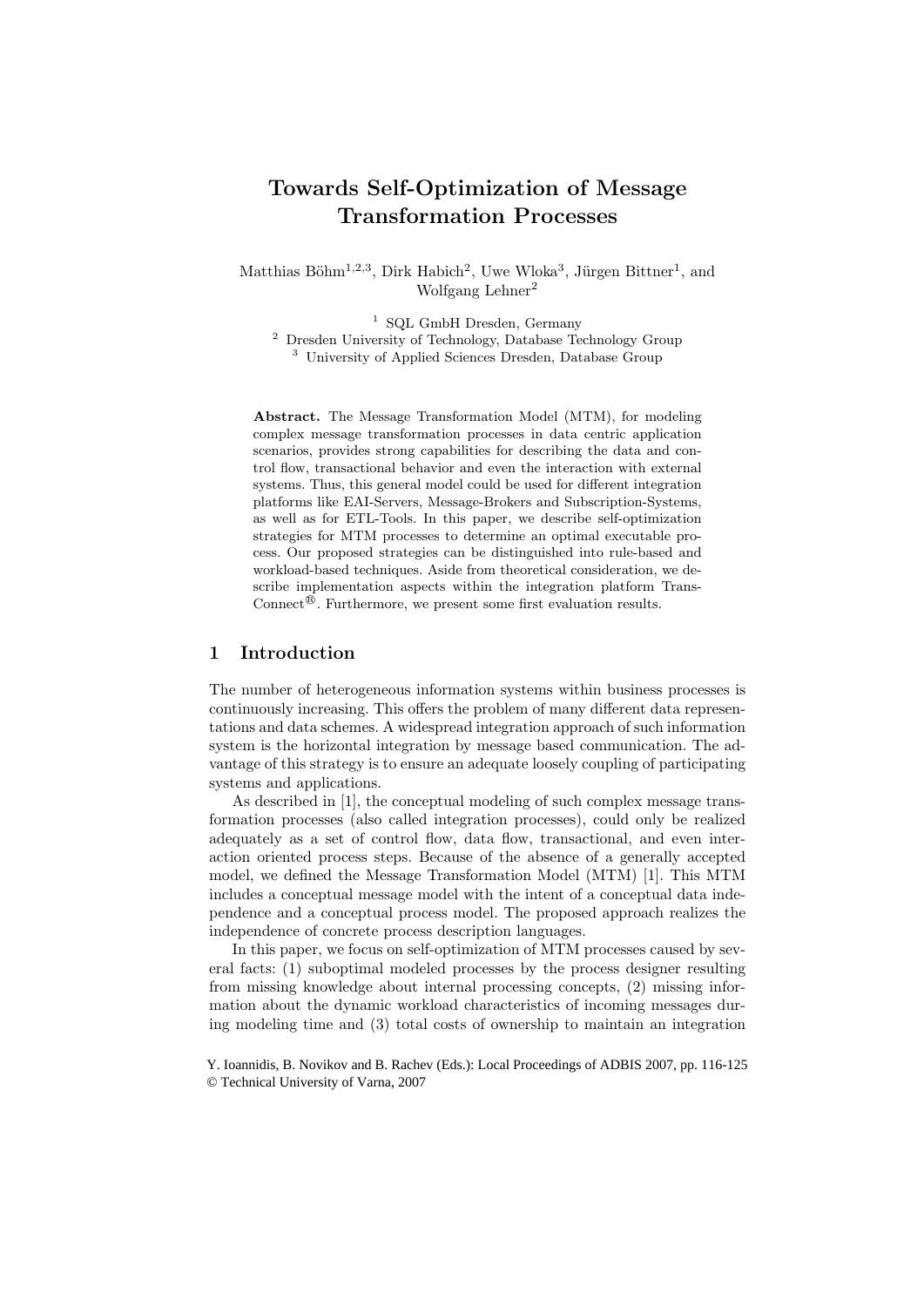# Towards Self-Optimization of Message Transformation Processes

Matthias Böhm<sup>1,2,3</sup>, Dirk Habich<sup>2</sup>, Uwe Wloka<sup>3</sup>, Jürgen Bittner<sup>1</sup>, and Wolfgang Lehner<sup>2</sup>

<sup>1</sup> SQL GmbH Dresden, Germany <sup>2</sup> Dresden University of Technology, Database Technology Group <sup>3</sup> University of Applied Sciences Dresden, Database Group

Abstract. The Message Transformation Model (MTM), for modeling complex message transformation processes in data centric application scenarios, provides strong capabilities for describing the data and control flow, transactional behavior and even the interaction with external systems. Thus, this general model could be used for different integration platforms like EAI-Servers, Message-Brokers and Subscription-Systems, as well as for ETL-Tools. In this paper, we describe self-optimization strategies for MTM processes to determine an optimal executable process. Our proposed strategies can be distinguished into rule-based and workload-based techniques. Aside from theoretical consideration, we describe implementation aspects within the integration platform Trans-Connect<sup>®</sup>. Furthermore, we present some first evaluation results.

## 1 Introduction

The number of heterogeneous information systems within business processes is continuously increasing. This offers the problem of many different data representations and data schemes. A widespread integration approach of such information system is the horizontal integration by message based communication. The advantage of this strategy is to ensure an adequate loosely coupling of participating systems and applications.

As described in [1], the conceptual modeling of such complex message transformation processes (also called integration processes), could only be realized adequately as a set of control flow, data flow, transactional, and even interaction oriented process steps. Because of the absence of a generally accepted model, we defined the Message Transformation Model (MTM) [1]. This MTM includes a conceptual message model with the intent of a conceptual data independence and a conceptual process model. The proposed approach realizes the independence of concrete process description languages.

In this paper, we focus on self-optimization of MTM processes caused by several facts: (1) suboptimal modeled processes by the process designer resulting from missing knowledge about internal processing concepts, (2) missing information about the dynamic workload characteristics of incoming messages during modeling time and (3) total costs of ownership to maintain an integration

Y. Ioannidis, B. Novikov and B. Rachev (Eds.): Local Proceedings of ADBIS 2007, pp. 116-125 © Technical University of Varna, 2007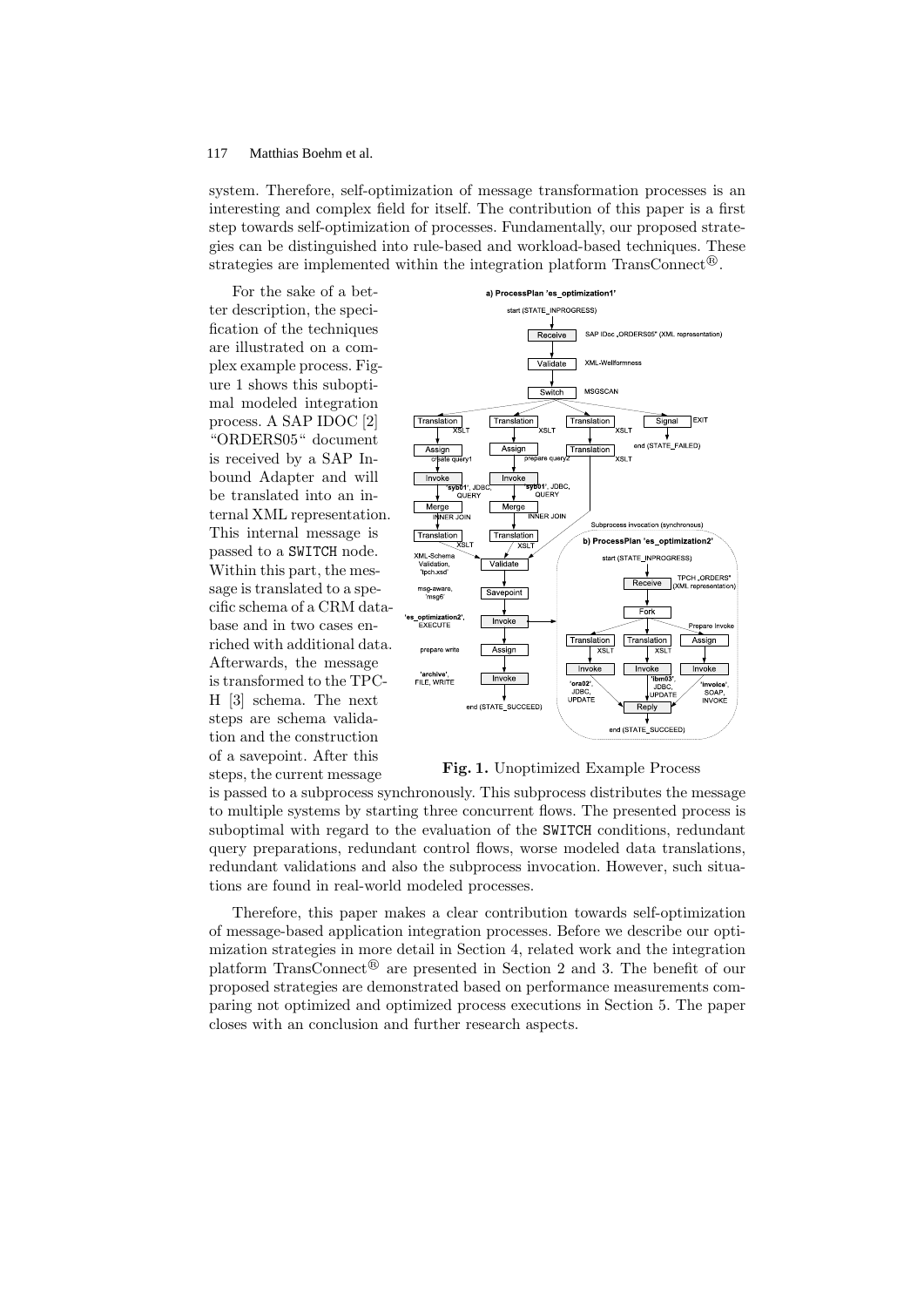system. Therefore, self-optimization of message transformation processes is an interesting and complex field for itself. The contribution of this paper is a first step towards self-optimization of processes. Fundamentally, our proposed strategies can be distinguished into rule-based and workload-based techniques. These strategies are implemented within the integration platform TransConnect<sup>®</sup>.

For the sake of a better description, the specification of the techniques are illustrated on a complex example process. Figure 1 shows this suboptimal modeled integration process. A SAP IDOC [2] "ORDERS05" document is received by a SAP Inbound Adapter and will be translated into an internal XML representation. This internal message is passed to a SWITCH node. Within this part, the message is translated to a specific schema of a CRM database and in two cases enriched with additional data. Afterwards, the message is transformed to the TPC-H [3] schema. The next steps are schema validation and the construction of a savepoint. After this steps, the current message



Fig. 1. Unoptimized Example Process

is passed to a subprocess synchronously. This subprocess distributes the message to multiple systems by starting three concurrent flows. The presented process is suboptimal with regard to the evaluation of the SWITCH conditions, redundant query preparations, redundant control flows, worse modeled data translations, redundant validations and also the subprocess invocation. However, such situations are found in real-world modeled processes.

Therefore, this paper makes a clear contribution towards self-optimization of message-based application integration processes. Before we describe our optimization strategies in more detail in Section 4, related work and the integration platform TransConnect<sup>®</sup> are presented in Section 2 and 3. The benefit of our proposed strategies are demonstrated based on performance measurements comparing not optimized and optimized process executions in Section 5. The paper closes with an conclusion and further research aspects.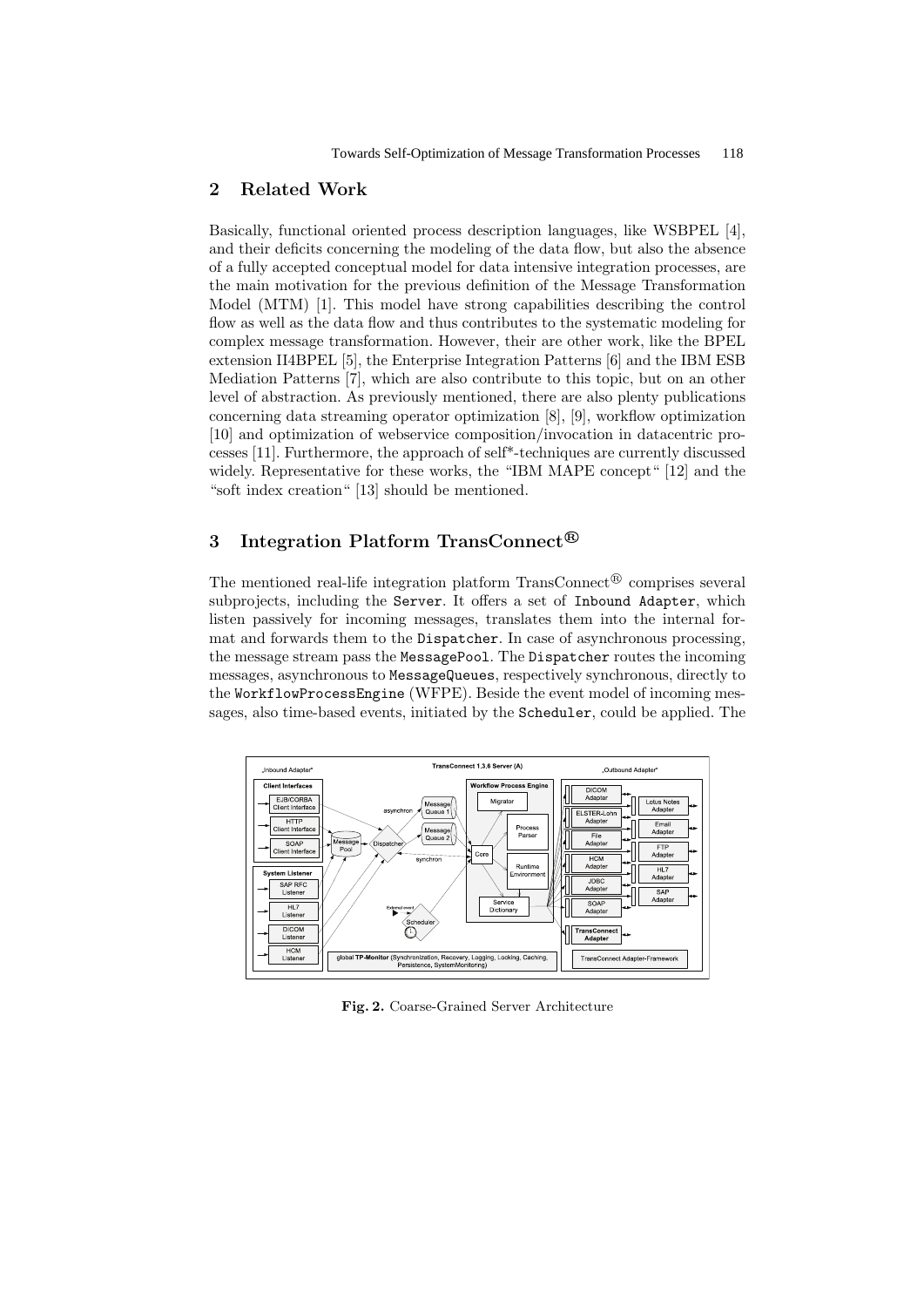## 2 Related Work

Basically, functional oriented process description languages, like WSBPEL [4], and their deficits concerning the modeling of the data flow, but also the absence of a fully accepted conceptual model for data intensive integration processes, are the main motivation for the previous definition of the Message Transformation Model (MTM) [1]. This model have strong capabilities describing the control flow as well as the data flow and thus contributes to the systematic modeling for complex message transformation. However, their are other work, like the BPEL extension II4BPEL [5], the Enterprise Integration Patterns [6] and the IBM ESB Mediation Patterns [7], which are also contribute to this topic, but on an other level of abstraction. As previously mentioned, there are also plenty publications concerning data streaming operator optimization [8], [9], workflow optimization [10] and optimization of webservice composition/invocation in datacentric processes [11]. Furthermore, the approach of self\*-techniques are currently discussed widely. Representative for these works, the "IBM MAPE concept" [12] and the "soft index creation" [13] should be mentioned.

# 3 Integration Platform TransConnect<sup>®</sup>

The mentioned real-life integration platform TransConnect<sup>®</sup> comprises several subprojects, including the Server. It offers a set of Inbound Adapter, which listen passively for incoming messages, translates them into the internal format and forwards them to the Dispatcher. In case of asynchronous processing, the message stream pass the MessagePool. The Dispatcher routes the incoming messages, asynchronous to MessageQueues, respectively synchronous, directly to the WorkflowProcessEngine (WFPE). Beside the event model of incoming messages, also time-based events, initiated by the Scheduler, could be applied. The



Fig. 2. Coarse-Grained Server Architecture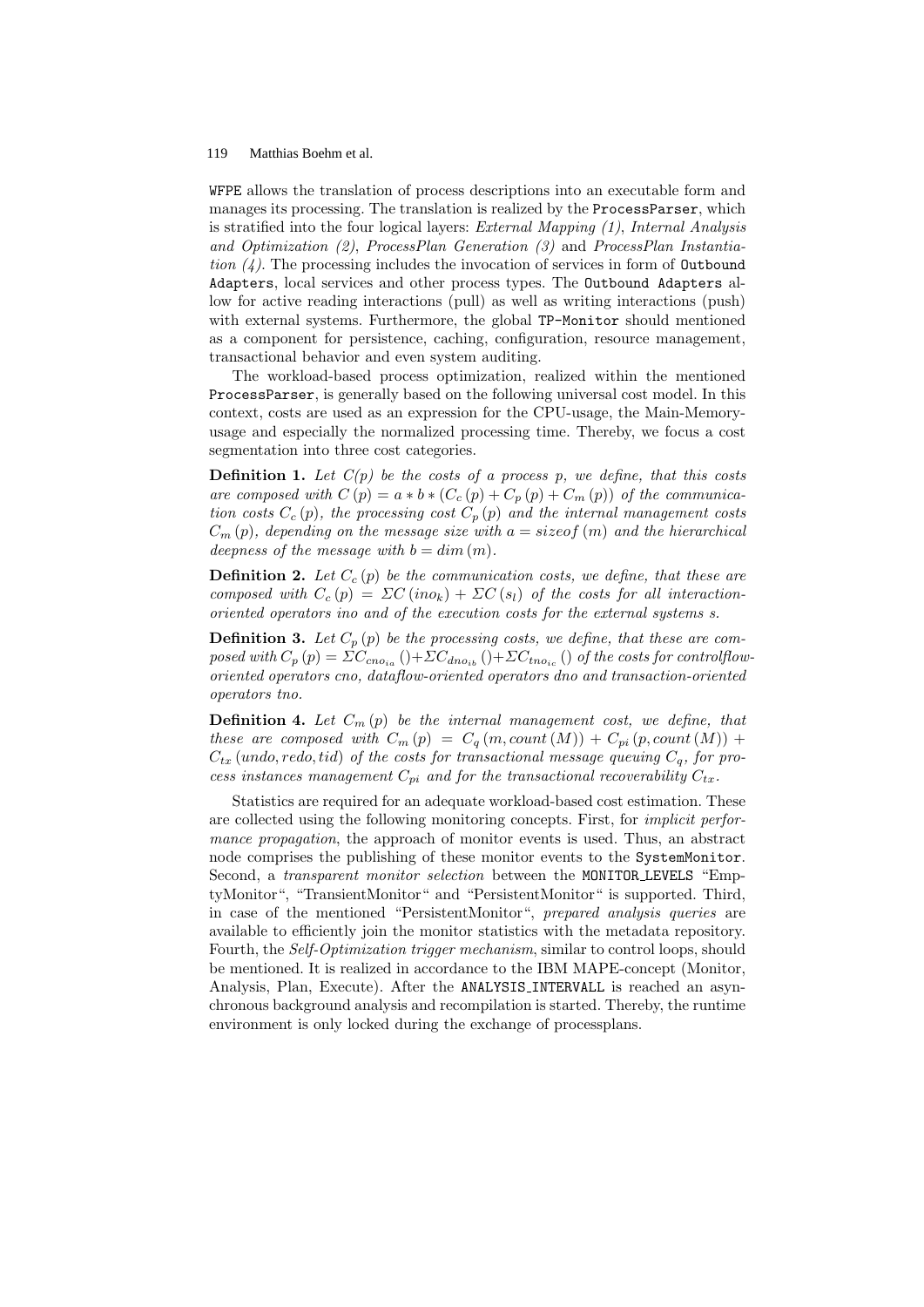WFPE allows the translation of process descriptions into an executable form and manages its processing. The translation is realized by the ProcessParser, which is stratified into the four logical layers: External Mapping (1), Internal Analysis and Optimization (2), ProcessPlan Generation (3) and ProcessPlan Instantiation  $(4)$ . The processing includes the invocation of services in form of **Outbound** Adapters, local services and other process types. The Outbound Adapters allow for active reading interactions (pull) as well as writing interactions (push) with external systems. Furthermore, the global TP-Monitor should mentioned as a component for persistence, caching, configuration, resource management, transactional behavior and even system auditing.

The workload-based process optimization, realized within the mentioned ProcessParser, is generally based on the following universal cost model. In this context, costs are used as an expression for the CPU-usage, the Main-Memoryusage and especially the normalized processing time. Thereby, we focus a cost segmentation into three cost categories.

**Definition 1.** Let  $C(p)$  be the costs of a process p, we define, that this costs are composed with  $C(p) = a * b * (C_c(p) + C_p(p) + C_m(p))$  of the communication costs  $C_c(p)$ , the processing cost  $C_p(p)$  and the internal management costs  $C_m(p)$ , depending on the message size with  $a = sizeof(m)$  and the hierarchical deepness of the message with  $b = dim(m)$ .

**Definition 2.** Let  $C_c(p)$  be the communication costs, we define, that these are composed with  $C_c(p) = \Sigma C(ino_k) + \Sigma C(s_l)$  of the costs for all interactionoriented operators ino and of the execution costs for the external systems s.

**Definition 3.** Let  $C_p(p)$  be the processing costs, we define, that these are composed with  $C_p(p) = \Sigma C_{cno_{ia}}() + \Sigma C_{dno_{ib}}() + \Sigma C_{tno_{ic}}()$  of the costs for controlfloworiented operators cno, dataflow-oriented operators dno and transaction-oriented operators tno.

**Definition 4.** Let  $C_m(p)$  be the internal management cost, we define, that these are composed with  $C_m(p) = C_q(m, count(M)) + C_{pi}(p, count(M)) +$  $C_{tx}$  (undo, redo, tid) of the costs for transactional message queuing  $C_q$ , for process instances management  $C_{pi}$  and for the transactional recoverability  $C_{tx}$ .

Statistics are required for an adequate workload-based cost estimation. These are collected using the following monitoring concepts. First, for implicit performance propagation, the approach of monitor events is used. Thus, an abstract node comprises the publishing of these monitor events to the SystemMonitor. Second, a transparent monitor selection between the MONITOR LEVELS "EmptyMonitor", "TransientMonitor" and "PersistentMonitor" is supported. Third, in case of the mentioned "PersistentMonitor", prepared analysis queries are available to efficiently join the monitor statistics with the metadata repository. Fourth, the *Self-Optimization trigger mechanism*, similar to control loops, should be mentioned. It is realized in accordance to the IBM MAPE-concept (Monitor, Analysis, Plan, Execute). After the ANALYSIS INTERVALL is reached an asynchronous background analysis and recompilation is started. Thereby, the runtime environment is only locked during the exchange of processplans.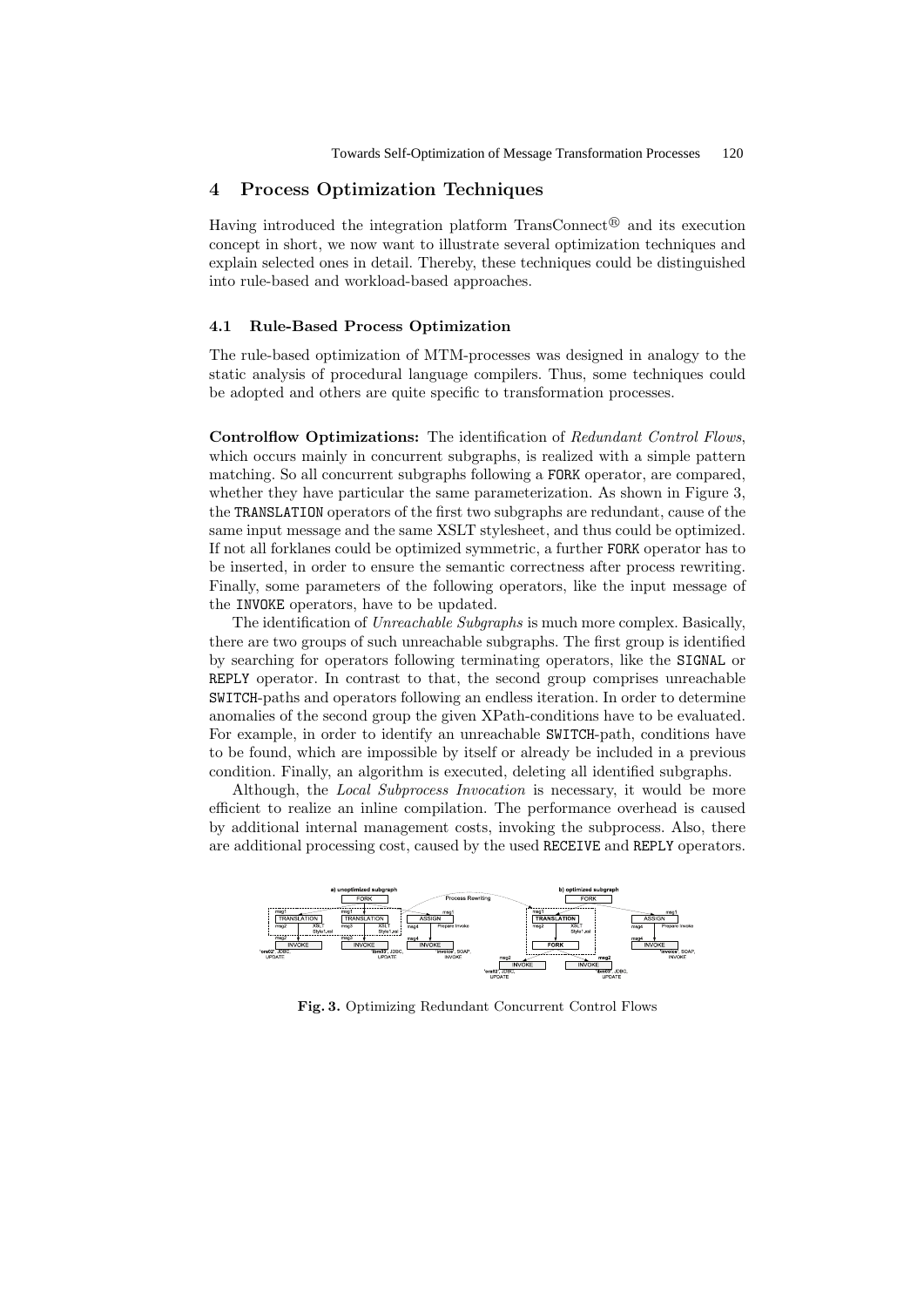## 4 Process Optimization Techniques

Having introduced the integration platform TransConnect<sup>®</sup> and its execution concept in short, we now want to illustrate several optimization techniques and explain selected ones in detail. Thereby, these techniques could be distinguished into rule-based and workload-based approaches.

#### 4.1 Rule-Based Process Optimization

The rule-based optimization of MTM-processes was designed in analogy to the static analysis of procedural language compilers. Thus, some techniques could be adopted and others are quite specific to transformation processes.

Controlflow Optimizations: The identification of Redundant Control Flows, which occurs mainly in concurrent subgraphs, is realized with a simple pattern matching. So all concurrent subgraphs following a FORK operator, are compared, whether they have particular the same parameterization. As shown in Figure 3, the TRANSLATION operators of the first two subgraphs are redundant, cause of the same input message and the same XSLT stylesheet, and thus could be optimized. If not all forklanes could be optimized symmetric, a further FORK operator has to be inserted, in order to ensure the semantic correctness after process rewriting. Finally, some parameters of the following operators, like the input message of the INVOKE operators, have to be updated.

The identification of *Unreachable Subgraphs* is much more complex. Basically, there are two groups of such unreachable subgraphs. The first group is identified by searching for operators following terminating operators, like the SIGNAL or REPLY operator. In contrast to that, the second group comprises unreachable SWITCH-paths and operators following an endless iteration. In order to determine anomalies of the second group the given XPath-conditions have to be evaluated. For example, in order to identify an unreachable SWITCH-path, conditions have to be found, which are impossible by itself or already be included in a previous condition. Finally, an algorithm is executed, deleting all identified subgraphs.

Although, the *Local Subprocess Invocation* is necessary, it would be more efficient to realize an inline compilation. The performance overhead is caused by additional internal management costs, invoking the subprocess. Also, there are additional processing cost, caused by the used RECEIVE and REPLY operators.



Fig. 3. Optimizing Redundant Concurrent Control Flows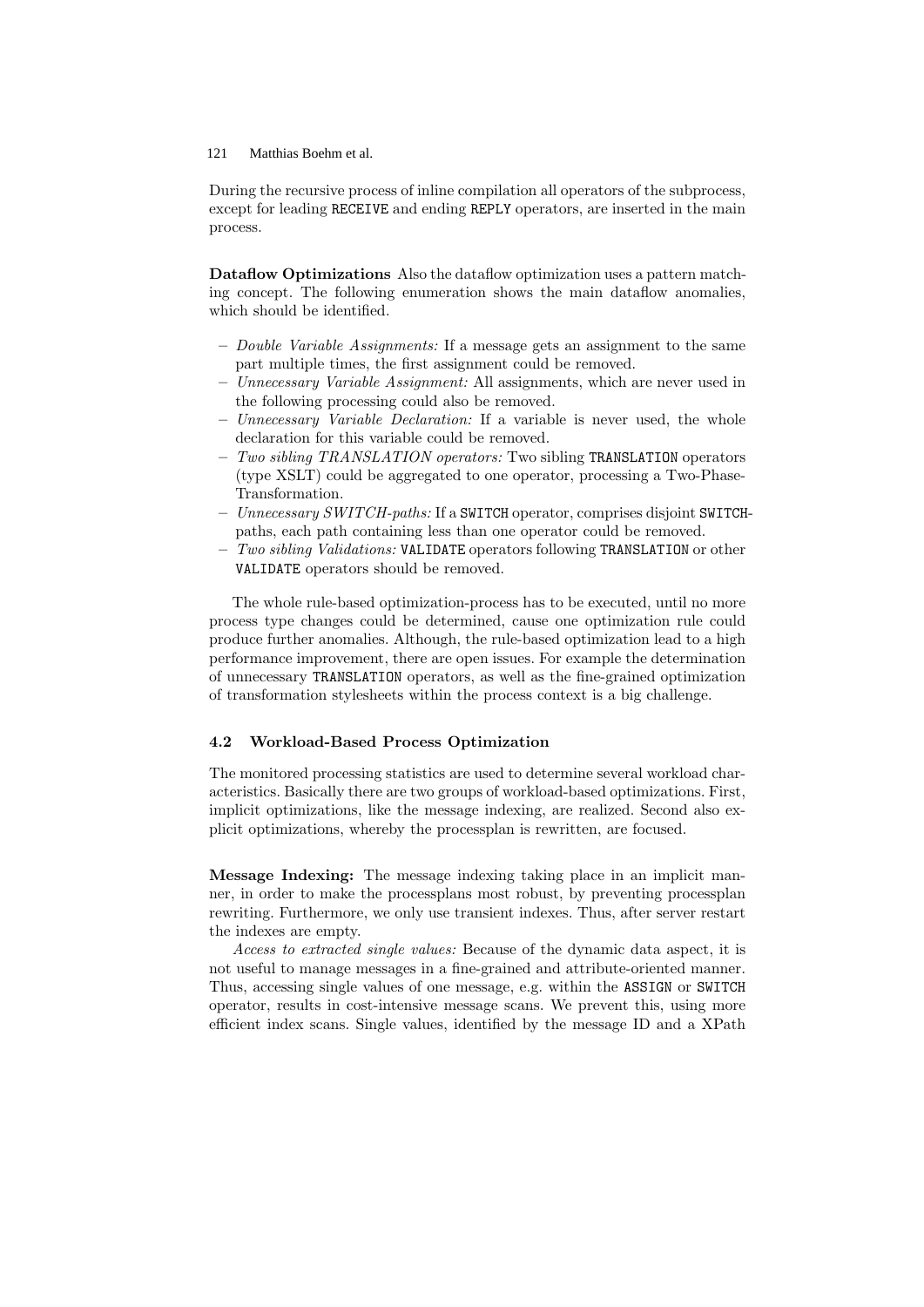During the recursive process of inline compilation all operators of the subprocess, except for leading RECEIVE and ending REPLY operators, are inserted in the main process.

Dataflow Optimizations Also the dataflow optimization uses a pattern matching concept. The following enumeration shows the main dataflow anomalies, which should be identified.

- Double Variable Assignments: If a message gets an assignment to the same part multiple times, the first assignment could be removed.
- Unnecessary Variable Assignment: All assignments, which are never used in the following processing could also be removed.
- $-$  Unnecessary Variable Declaration: If a variable is never used, the whole declaration for this variable could be removed.
- $-$  Two sibling TRANSLATION operators: Two sibling TRANSLATION operators (type XSLT) could be aggregated to one operator, processing a Two-Phase-Transformation.
- Unnecessary SWITCH-paths: If a SWITCH operator, comprises disjoint SWITCHpaths, each path containing less than one operator could be removed.
- $-$  Two sibling Validations: VALIDATE operators following TRANSLATION or other VALIDATE operators should be removed.

The whole rule-based optimization-process has to be executed, until no more process type changes could be determined, cause one optimization rule could produce further anomalies. Although, the rule-based optimization lead to a high performance improvement, there are open issues. For example the determination of unnecessary TRANSLATION operators, as well as the fine-grained optimization of transformation stylesheets within the process context is a big challenge.

#### 4.2 Workload-Based Process Optimization

The monitored processing statistics are used to determine several workload characteristics. Basically there are two groups of workload-based optimizations. First, implicit optimizations, like the message indexing, are realized. Second also explicit optimizations, whereby the processplan is rewritten, are focused.

Message Indexing: The message indexing taking place in an implicit manner, in order to make the processplans most robust, by preventing processplan rewriting. Furthermore, we only use transient indexes. Thus, after server restart the indexes are empty.

Access to extracted single values: Because of the dynamic data aspect, it is not useful to manage messages in a fine-grained and attribute-oriented manner. Thus, accessing single values of one message, e.g. within the ASSIGN or SWITCH operator, results in cost-intensive message scans. We prevent this, using more efficient index scans. Single values, identified by the message ID and a XPath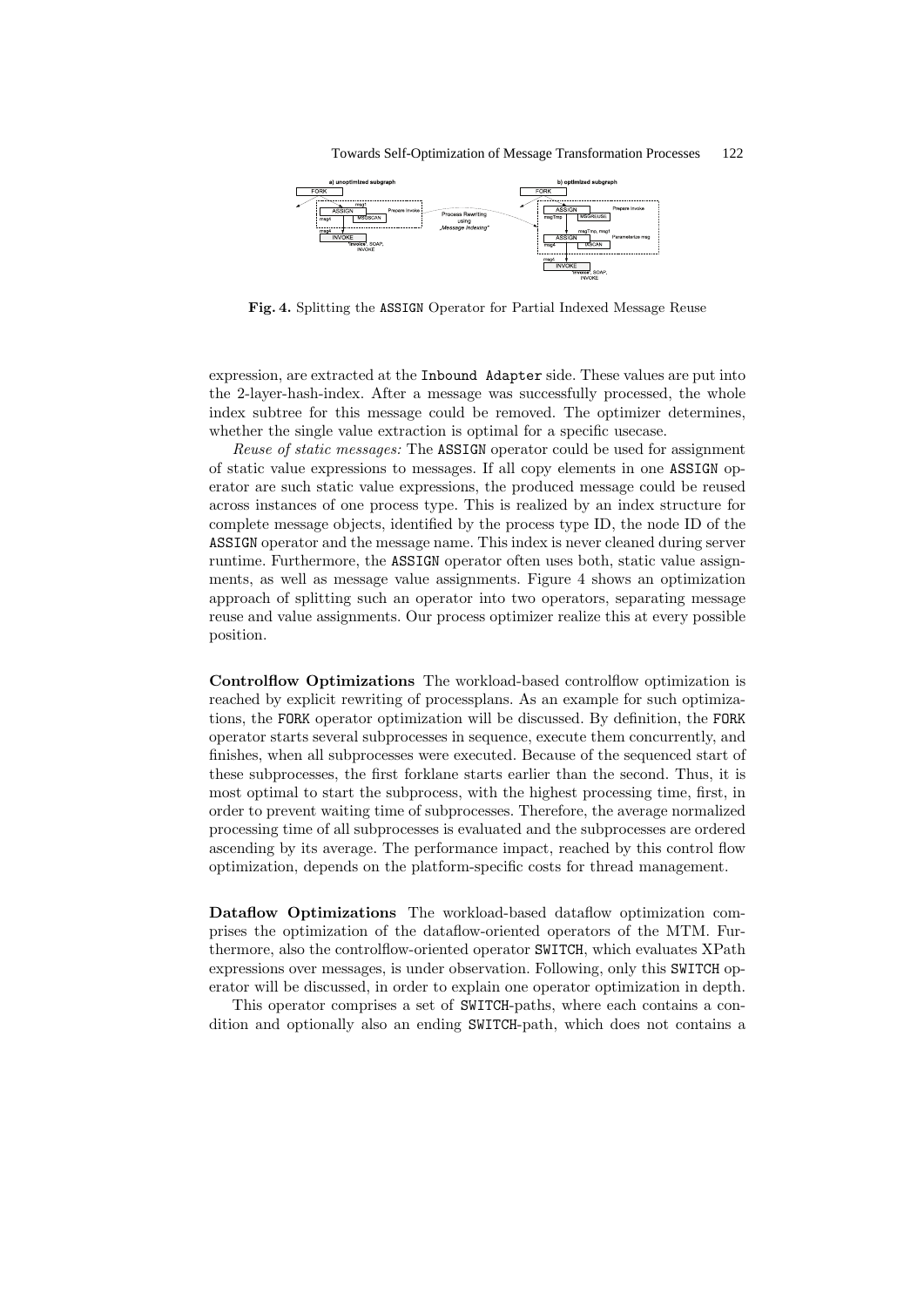

Fig. 4. Splitting the ASSIGN Operator for Partial Indexed Message Reuse

expression, are extracted at the Inbound Adapter side. These values are put into the 2-layer-hash-index. After a message was successfully processed, the whole index subtree for this message could be removed. The optimizer determines, whether the single value extraction is optimal for a specific usecase.

Reuse of static messages: The ASSIGN operator could be used for assignment of static value expressions to messages. If all copy elements in one ASSIGN operator are such static value expressions, the produced message could be reused across instances of one process type. This is realized by an index structure for complete message objects, identified by the process type ID, the node ID of the ASSIGN operator and the message name. This index is never cleaned during server runtime. Furthermore, the ASSIGN operator often uses both, static value assignments, as well as message value assignments. Figure 4 shows an optimization approach of splitting such an operator into two operators, separating message reuse and value assignments. Our process optimizer realize this at every possible position.

Controlflow Optimizations The workload-based controlflow optimization is reached by explicit rewriting of processplans. As an example for such optimizations, the FORK operator optimization will be discussed. By definition, the FORK operator starts several subprocesses in sequence, execute them concurrently, and finishes, when all subprocesses were executed. Because of the sequenced start of these subprocesses, the first forklane starts earlier than the second. Thus, it is most optimal to start the subprocess, with the highest processing time, first, in order to prevent waiting time of subprocesses. Therefore, the average normalized processing time of all subprocesses is evaluated and the subprocesses are ordered ascending by its average. The performance impact, reached by this control flow optimization, depends on the platform-specific costs for thread management.

Dataflow Optimizations The workload-based dataflow optimization comprises the optimization of the dataflow-oriented operators of the MTM. Furthermore, also the controlflow-oriented operator SWITCH, which evaluates XPath expressions over messages, is under observation. Following, only this SWITCH operator will be discussed, in order to explain one operator optimization in depth.

This operator comprises a set of SWITCH-paths, where each contains a condition and optionally also an ending SWITCH-path, which does not contains a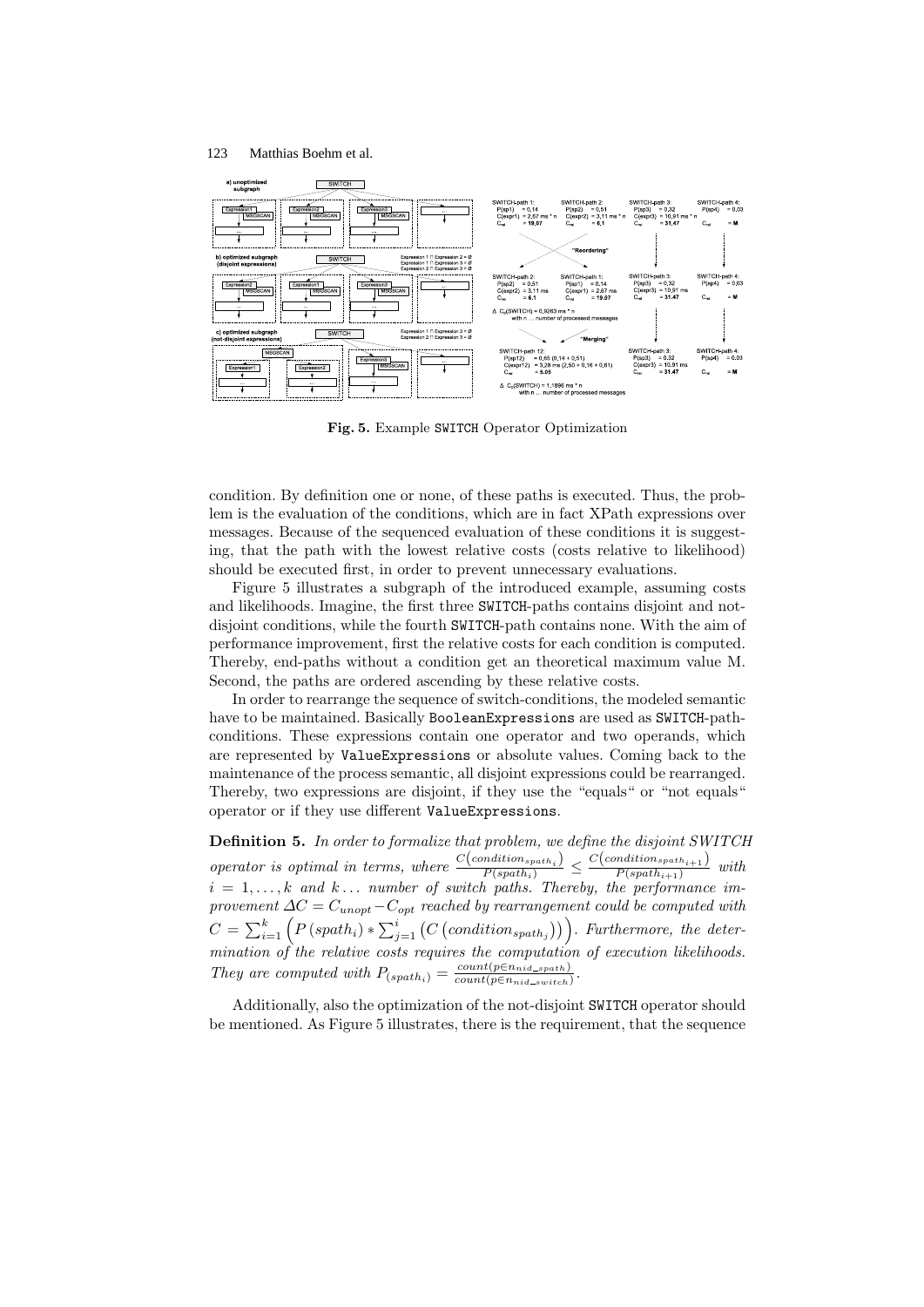

Fig. 5. Example SWITCH Operator Optimization

condition. By definition one or none, of these paths is executed. Thus, the problem is the evaluation of the conditions, which are in fact XPath expressions over messages. Because of the sequenced evaluation of these conditions it is suggesting, that the path with the lowest relative costs (costs relative to likelihood) should be executed first, in order to prevent unnecessary evaluations.

Figure 5 illustrates a subgraph of the introduced example, assuming costs and likelihoods. Imagine, the first three SWITCH-paths contains disjoint and notdisjoint conditions, while the fourth SWITCH-path contains none. With the aim of performance improvement, first the relative costs for each condition is computed. Thereby, end-paths without a condition get an theoretical maximum value M. Second, the paths are ordered ascending by these relative costs.

In order to rearrange the sequence of switch-conditions, the modeled semantic have to be maintained. Basically BooleanExpressions are used as SWITCH-pathconditions. These expressions contain one operator and two operands, which are represented by ValueExpressions or absolute values. Coming back to the maintenance of the process semantic, all disjoint expressions could be rearranged. Thereby, two expressions are disjoint, if they use the "equals" or "not equals" operator or if they use different ValueExpressions.

Definition 5. In order to formalize that problem, we define the disjoint SWITCH operator is optimal in terms, where  $\frac{C(condition_{spath_i})}{P(spath_i)} \leq \frac{C(condition_{spath_{i+1}})}{P(spath_{i+1})}$  $\frac{P(spath_{i+1})}{P(spath_{i+1})}$  with  $i = 1, \ldots, k$  and  $k \ldots$  number of switch paths. Thereby, the performance improvement  $\Delta C = C_{unopt} - C_{opt}$  reached by rearrangement could be computed with  $C = \sum_{i=1}^{k} (P(spath_i) * \sum_{j=1}^{i} (C(scondition_{spath_j})))$ . Furthermore, the determination of the relative costs requires the computation of execution likelihoods. They are computed with  $P_{(spath_i)} = \frac{count(p \in n_{nid\_spath})}{count(p \in n_{pid\_switch})}$  $count(p \in n_{nid\_switch})$ .

Additionally, also the optimization of the not-disjoint SWITCH operator should be mentioned. As Figure 5 illustrates, there is the requirement, that the sequence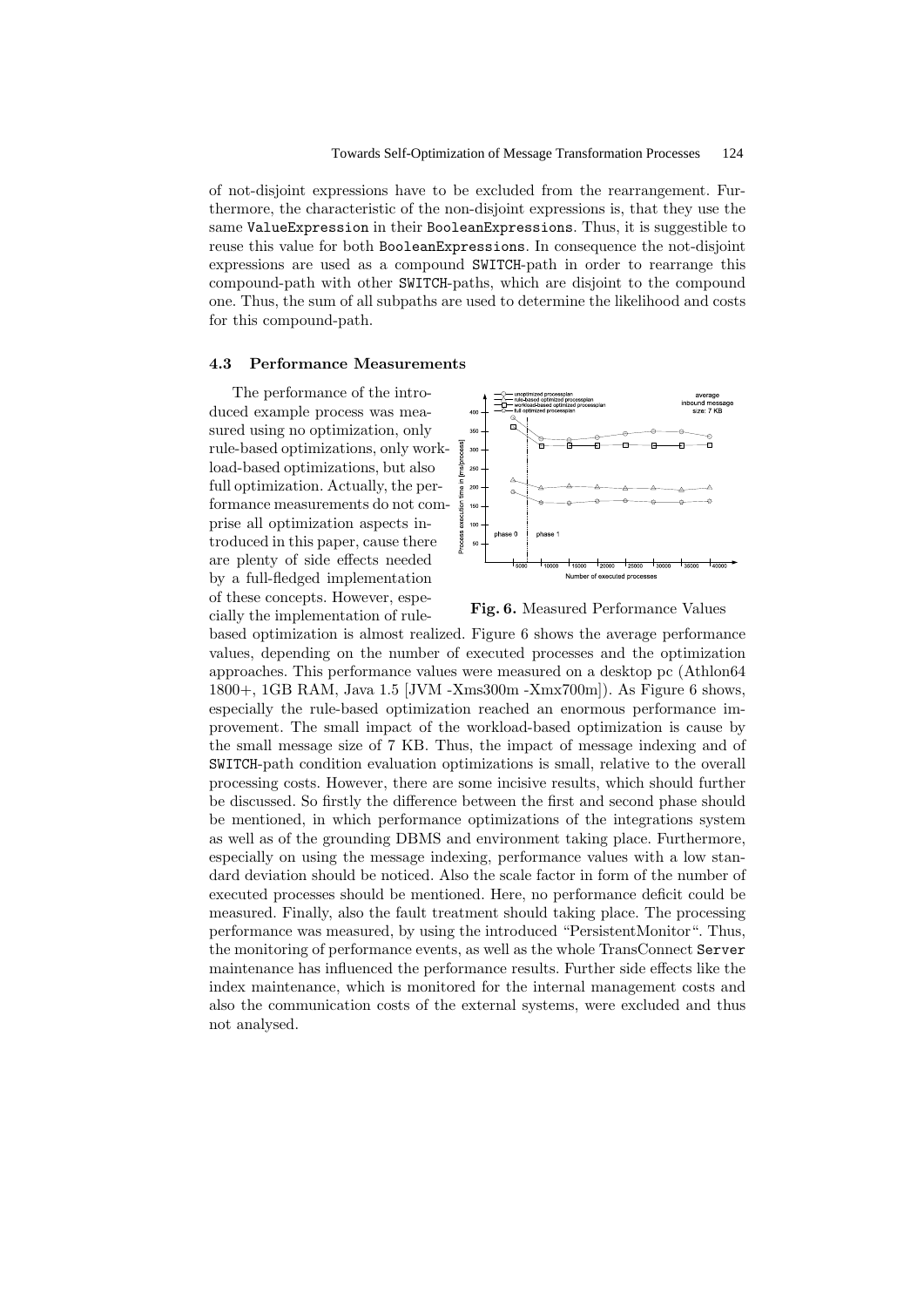of not-disjoint expressions have to be excluded from the rearrangement. Furthermore, the characteristic of the non-disjoint expressions is, that they use the same ValueExpression in their BooleanExpressions. Thus, it is suggestible to reuse this value for both BooleanExpressions. In consequence the not-disjoint expressions are used as a compound SWITCH-path in order to rearrange this compound-path with other SWITCH-paths, which are disjoint to the compound one. Thus, the sum of all subpaths are used to determine the likelihood and costs for this compound-path.

## 4.3 Performance Measurements

The performance of the introduced example process was measured using no optimization, only rule-based optimizations, only workload-based optimizations, but also full optimization. Actually, the performance measurements do not comprise all optimization aspects introduced in this paper, cause there are plenty of side effects needed by a full-fledged implementation of these concepts. However, especially the implementation of rule-



Fig. 6. Measured Performance Values

based optimization is almost realized. Figure 6 shows the average performance values, depending on the number of executed processes and the optimization approaches. This performance values were measured on a desktop pc (Athlon64 1800+, 1GB RAM, Java 1.5 [JVM -Xms300m -Xmx700m]). As Figure 6 shows, especially the rule-based optimization reached an enormous performance improvement. The small impact of the workload-based optimization is cause by the small message size of 7 KB. Thus, the impact of message indexing and of SWITCH-path condition evaluation optimizations is small, relative to the overall processing costs. However, there are some incisive results, which should further be discussed. So firstly the difference between the first and second phase should be mentioned, in which performance optimizations of the integrations system as well as of the grounding DBMS and environment taking place. Furthermore, especially on using the message indexing, performance values with a low standard deviation should be noticed. Also the scale factor in form of the number of executed processes should be mentioned. Here, no performance deficit could be measured. Finally, also the fault treatment should taking place. The processing performance was measured, by using the introduced "PersistentMonitor". Thus, the monitoring of performance events, as well as the whole TransConnect Server maintenance has influenced the performance results. Further side effects like the index maintenance, which is monitored for the internal management costs and also the communication costs of the external systems, were excluded and thus not analysed.